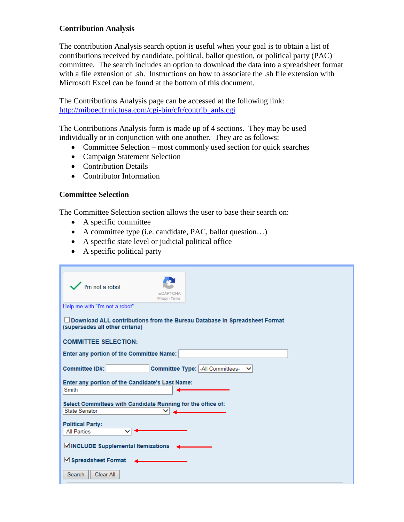# **Contribution Analysis**

The contribution Analysis search option is useful when your goal is to obtain a list of contributions received by candidate, political, ballot question, or political party (PAC) committee. The search includes an option to download the data into a spreadsheet format with a file extension of .sh. Instructions on how to associate the .sh file extension with Microsoft Excel can be found at the bottom of this document.

The Contributions Analysis page can be accessed at the following link: [http://miboecfr.nictusa.com/cgi-bin/cfr/contrib\\_anls.cgi](http://miboecfr.nictusa.com/cgi-bin/cfr/contrib_anls.cgi)

The Contributions Analysis form is made up of 4 sections. They may be used individually or in conjunction with one another. They are as follows:

- Committee Selection most commonly used section for quick searches
- Campaign Statement Selection
- Contribution Details
- Contributor Information

#### **Committee Selection**

The Committee Selection section allows the user to base their search on:

- A specific committee
- A committee type (i.e. candidate, PAC, ballot question…)
- A specific state level or judicial political office
- A specific political party

| I'm not a robot<br><b>reCAPTCHA</b><br>Privacy - Terms                                                       |  |  |  |  |
|--------------------------------------------------------------------------------------------------------------|--|--|--|--|
| Help me with "I'm not a robot"                                                                               |  |  |  |  |
| Download ALL contributions from the Bureau Database in Spreadsheet Format<br>(supersedes all other criteria) |  |  |  |  |
| <b>COMMITTEE SELECTION:</b>                                                                                  |  |  |  |  |
| Enter any portion of the Committee Name:                                                                     |  |  |  |  |
| Committee Type: - All Committees-<br>Committee ID#:                                                          |  |  |  |  |
| Enter any portion of the Candidate's Last Name:<br>Smith                                                     |  |  |  |  |
| Select Committees with Candidate Running for the office of:<br><b>State Senator</b>                          |  |  |  |  |
| <b>Political Party:</b><br>-All Parties-                                                                     |  |  |  |  |
| ☑ INCLUDE Supplemental Itemizations                                                                          |  |  |  |  |
| √ Spreadsheet Format                                                                                         |  |  |  |  |
| Search<br>Clear All                                                                                          |  |  |  |  |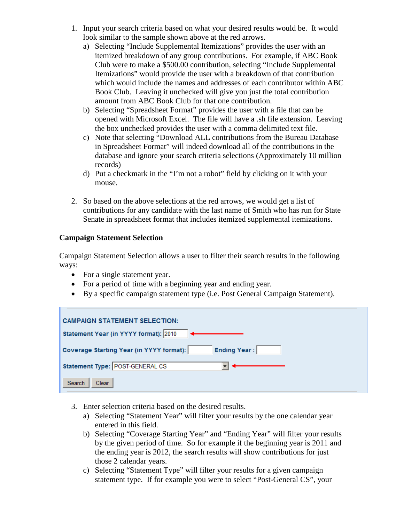- 1. Input your search criteria based on what your desired results would be. It would look similar to the sample shown above at the red arrows.
	- a) Selecting "Include Supplemental Itemizations" provides the user with an itemized breakdown of any group contributions. For example, if ABC Book Club were to make a \$500.00 contribution, selecting "Include Supplemental Itemizations" would provide the user with a breakdown of that contribution which would include the names and addresses of each contributor within ABC Book Club. Leaving it unchecked will give you just the total contribution amount from ABC Book Club for that one contribution.
	- b) Selecting "Spreadsheet Format" provides the user with a file that can be opened with Microsoft Excel. The file will have a .sh file extension. Leaving the box unchecked provides the user with a comma delimited text file.
	- c) Note that selecting "Download ALL contributions from the Bureau Database in Spreadsheet Format" will indeed download all of the contributions in the database and ignore your search criteria selections (Approximately 10 million records)
	- d) Put a checkmark in the "I'm not a robot" field by clicking on it with your mouse.
- 2. So based on the above selections at the red arrows, we would get a list of contributions for any candidate with the last name of Smith who has run for State Senate in spreadsheet format that includes itemized supplemental itemizations.

# **Campaign Statement Selection**

Campaign Statement Selection allows a user to filter their search results in the following ways:

- For a single statement year.
- For a period of time with a beginning year and ending year.
- By a specific campaign statement type (i.e. Post General Campaign Statement).

| <b>CAMPAIGN STATEMENT SELECTION:</b>                            |
|-----------------------------------------------------------------|
| Statement Year (in YYYY format): 2010                           |
| <b>Ending Year:</b><br>Coverage Starting Year (in YYYY format): |
| Statement Type: POST-GENERAL CS                                 |
| Search<br>Clear                                                 |

- 3. Enter selection criteria based on the desired results.
	- a) Selecting "Statement Year" will filter your results by the one calendar year entered in this field.
	- b) Selecting "Coverage Starting Year" and "Ending Year" will filter your results by the given period of time. So for example if the beginning year is 2011 and the ending year is 2012, the search results will show contributions for just those 2 calendar years.
	- c) Selecting "Statement Type" will filter your results for a given campaign statement type. If for example you were to select "Post-General CS", your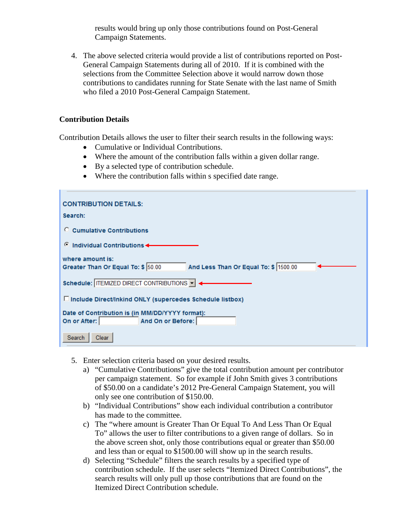results would bring up only those contributions found on Post-General Campaign Statements.

4. The above selected criteria would provide a list of contributions reported on Post-General Campaign Statements during all of 2010. If it is combined with the selections from the Committee Selection above it would narrow down those contributions to candidates running for State Senate with the last name of Smith who filed a 2010 Post-General Campaign Statement.

# **Contribution Details**

Contribution Details allows the user to filter their search results in the following ways:

- Cumulative or Individual Contributions.
- Where the amount of the contribution falls within a given dollar range.
- By a selected type of contribution schedule.
- Where the contribution falls within s specified date range.

| <b>CONTRIBUTION DETAILS:</b>                                                                    |
|-------------------------------------------------------------------------------------------------|
| Search:                                                                                         |
| C Cumulative Contributions                                                                      |
| Individual Contributions <<br>o                                                                 |
| where amount is:<br>And Less Than Or Equal To: \$ 1500.00<br>Greater Than Or Equal To: \$ 50.00 |
| Schedule: ITEMIZED DIRECT CONTRIBUTIONS                                                         |
| □ Include Direct/Inkind ONLY (supercedes Schedule listbox)                                      |
| Date of Contribution is (in MM/DD/YYYY format):<br>And On or Before:<br>On or After:            |
| Search<br>Clear                                                                                 |

- 5. Enter selection criteria based on your desired results.
	- a) "Cumulative Contributions" give the total contribution amount per contributor per campaign statement. So for example if John Smith gives 3 contributions of \$50.00 on a candidate's 2012 Pre-General Campaign Statement, you will only see one contribution of \$150.00.
	- b) "Individual Contributions" show each individual contribution a contributor has made to the committee.
	- c) The "where amount is Greater Than Or Equal To And Less Than Or Equal To" allows the user to filter contributions to a given range of dollars. So in the above screen shot, only those contributions equal or greater than \$50.00 and less than or equal to \$1500.00 will show up in the search results.
	- d) Selecting "Schedule" filters the search results by a specified type of contribution schedule. If the user selects "Itemized Direct Contributions", the search results will only pull up those contributions that are found on the Itemized Direct Contribution schedule.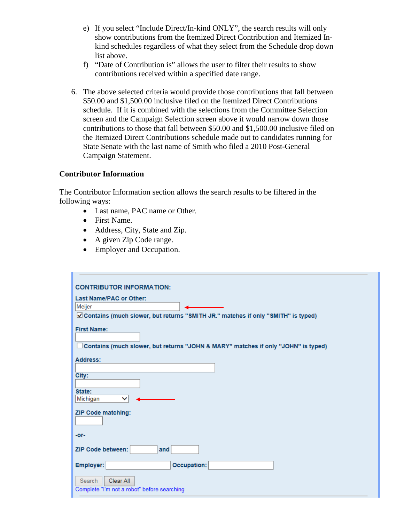- e) If you select "Include Direct/In-kind ONLY", the search results will only show contributions from the Itemized Direct Contribution and Itemized Inkind schedules regardless of what they select from the Schedule drop down list above.
- f) "Date of Contribution is" allows the user to filter their results to show contributions received within a specified date range.
- 6. The above selected criteria would provide those contributions that fall between \$50.00 and \$1,500.00 inclusive filed on the Itemized Direct Contributions schedule. If it is combined with the selections from the Committee Selection screen and the Campaign Selection screen above it would narrow down those contributions to those that fall between \$50.00 and \$1,500.00 inclusive filed on the Itemized Direct Contributions schedule made out to candidates running for State Senate with the last name of Smith who filed a 2010 Post-General Campaign Statement.

#### **Contributor Information**

The Contributor Information section allows the search results to be filtered in the following ways:

- Last name, PAC name or Other.
- First Name.
- Address, City, State and Zip.
- A given Zip Code range.
- Employer and Occupation.

| <b>CONTRIBUTOR INFORMATION:</b>                                                                         |
|---------------------------------------------------------------------------------------------------------|
| Last Name/PAC or Other:                                                                                 |
| Meijer                                                                                                  |
| Contains (much slower, but returns "SMITH JR." matches if only "SMITH" is typed)                        |
| <b>First Name:</b><br>Contains (much slower, but returns "JOHN & MARY" matches if only "JOHN" is typed) |
| Address:                                                                                                |
| City:<br>State:<br>Michigan<br>$\checkmark$                                                             |
| ZIP Code matching:                                                                                      |
| -or-<br>ZIP Code between:<br>and                                                                        |
| Occupation:<br>Employer:                                                                                |
| Search<br>Clear All<br>Complete "I'm not a robot" before searching                                      |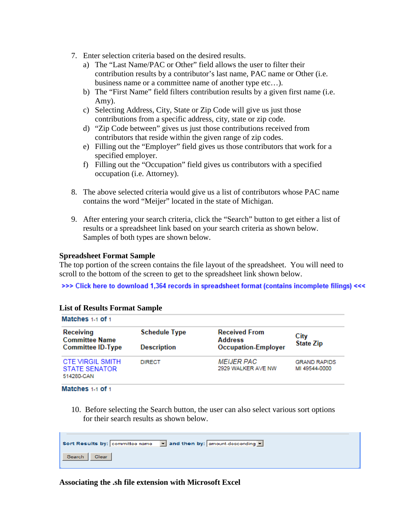- 7. Enter selection criteria based on the desired results.
	- a) The "Last Name/PAC or Other" field allows the user to filter their contribution results by a contributor's last name, PAC name or Other (i.e. business name or a committee name of another type etc…).
	- b) The "First Name" field filters contribution results by a given first name (i.e. Amy).
	- c) Selecting Address, City, State or Zip Code will give us just those contributions from a specific address, city, state or zip code.
	- d) "Zip Code between" gives us just those contributions received from contributors that reside within the given range of zip codes.
	- e) Filling out the "Employer" field gives us those contributors that work for a specified employer.
	- f) Filling out the "Occupation" field gives us contributors with a specified occupation (i.e. Attorney).
- 8. The above selected criteria would give us a list of contributors whose PAC name contains the word "Meijer" located in the state of Michigan.
- 9. After entering your search criteria, click the "Search" button to get either a list of results or a spreadsheet link based on your search criteria as shown below. Samples of both types are shown below.

#### **Spreadsheet Format Sample**

The top portion of the screen contains the file layout of the spreadsheet. You will need to scroll to the bottom of the screen to get to the spreadsheet link shown below.

>>> Click here to download 1,364 records in spreadsheet format (contains incomplete filings) <<<

| Matches 1-1 of 1                                               |                                            |                                                                      |                                      |  |
|----------------------------------------------------------------|--------------------------------------------|----------------------------------------------------------------------|--------------------------------------|--|
| Receiving<br><b>Committee Name</b><br><b>Committee ID-Type</b> | <b>Schedule Type</b><br><b>Description</b> | <b>Received From</b><br><b>Address</b><br><b>Occupation-Employer</b> | City<br><b>State Zip</b>             |  |
| <b>CTE VIRGIL SMITH</b><br><b>STATE SENATOR</b><br>514280-CAN  | <b>DIRECT</b>                              | <b>MEIJER PAC</b><br>2929 WALKER AVE NW                              | <b>GRAND RAPIDS</b><br>MI 49544-0000 |  |

# **List of Results Format Sample**

Matches 1-1 of 1

ш

10. Before selecting the Search button, the user can also select various sort options for their search results as shown below.

| Sort Results by: committee name | $\blacktriangleright$ and then by: amount-descending $\blacktriangleright$ |
|---------------------------------|----------------------------------------------------------------------------|
| Search   Clear                  |                                                                            |

**Associating the .sh file extension with Microsoft Excel**